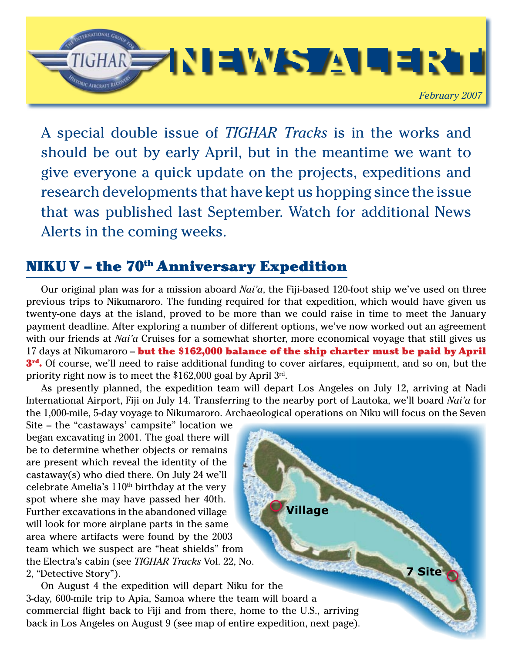

A special double issue of *TIGHAR Tracks* is in the works and should be out by early April, but in the meantime we want to give everyone a quick update on the projects, expeditions and research developments that have kept us hopping since the issue that was published last September. Watch for additional News Alerts in the coming weeks.

#### NIKU V - the 70<sup>th</sup> Anniversary Expedition

Our original plan was for a mission aboard *Nai'a*, the Fiji-based 120-foot ship we've used on three previous trips to Nikumaroro. The funding required for that expedition, which would have given us twenty-one days at the island, proved to be more than we could raise in time to meet the January payment deadline. After exploring a number of different options, we've now worked out an agreement with our friends at *Nai'a* Cruises for a somewhat shorter, more economical voyage that still gives us 17 days at Nikumaroro – but the \$162,000 balance of the ship charter must be paid by April 3<sup>rd</sup>. Of course, we'll need to raise additional funding to cover airfares, equipment, and so on, but the priority right now is to meet the \$162,000 goal by April 3rd.

As presently planned, the expedition team will depart Los Angeles on July 12, arriving at Nadi International Airport, Fiji on July 14. Transferring to the nearby port of Lautoka, we'll board *Nai'a* for the 1,000-mile, 5-day voyage to Nikumaroro. Archaeological operations on Niku will focus on the Seven

**Village**

**7 Site**

Site – the "castaways' campsite" location we began excavating in 2001. The goal there will be to determine whether objects or remains are present which reveal the identity of the castaway(s) who died there. On July 24 we'll celebrate Amelia's 110th birthday at the very spot where she may have passed her 40th. Further excavations in the abandoned village will look for more airplane parts in the same area where artifacts were found by the 2003 team which we suspect are "heat shields" from the Electra's cabin (see *TIGHAR Tracks* Vol. 22, No. 2, "Detective Story").

On August 4 the expedition will depart Niku for the 3-day, 600-mile trip to Apia, Samoa where the team will board a commercial flight back to Fiji and from there, home to the U.S., arriving back in Los Angeles on August 9 (see map of entire expedition, next page).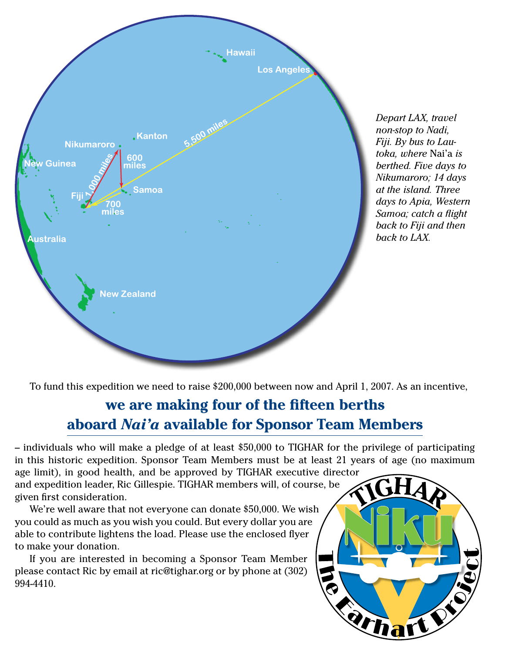

*Depart LAX, travel non-stop to Nadi, Fiji. By bus to Lautoka, where* Nai'a *is berthed. Five days to Nikumaroro; 14 days at the island. Three days to Apia, Western Samoa; catch a flight back to Fiji and then back to LAX.*

To fund this expedition we need to raise \$200,000 between now and April 1, 2007. As an incentive,

### **we are making four of the fifteen berths aboard** *Nai'a* **available for Sponsor Team Members**

– individuals who will make a pledge of at least \$50,000 to TIGHAR for the privilege of participating in this historic expedition. Sponsor Team Members must be at least 21 years of age (no maximum age limit), in good health, and be approved by TIGHAR executive director

and expedition leader, Ric Gillespie. TIGHAR members will, of course, be given first consideration.

We're well aware that not everyone can donate \$50,000. We wish you could as much as you wish you could. But every dollar you are able to contribute lightens the load. Please use the enclosed flyer to make your donation.

If you are interested in becoming a Sponsor Team Member please contact Ric by email at ric@tighar.org or by phone at (302) 994-4410.

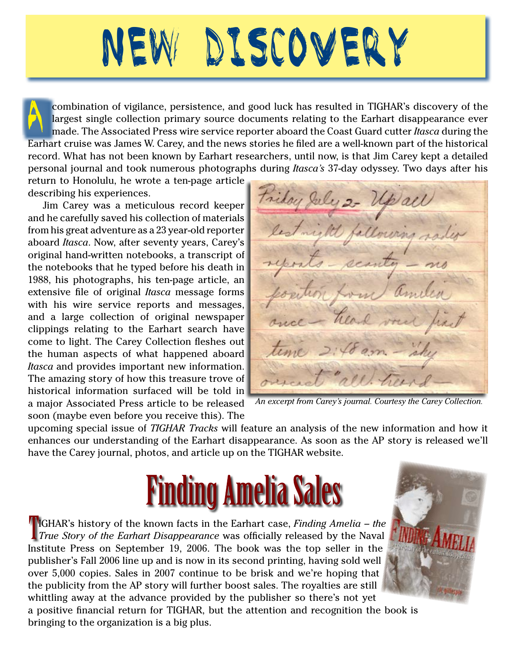# New Discovery

combination of vigilance, persistence, and good luck has resulted in TIGHAR's discovery of the largest single collection primary source documents relating to the Earhart disappearance ever made. The Associated Press wire service reporter aboard the Coast Guard cutter *Itasca* during the Earhart cruise was James W. Carey, and the news stories he filed are a well-known part of the historical record. What has not been known by Earhart researchers, until now, is that Jim Carey kept a detailed personal journal and took numerous photographs during *Itasca's* 37-day odyssey. Two days after his

return to Honolulu, he wrote a ten-page article describing his experiences.

Jim Carey was a meticulous record keeper and he carefully saved his collection of materials from his great adventure as a 23 year-old reporter aboard *Itasca*. Now, after seventy years, Carey's original hand-written notebooks, a transcript of the notebooks that he typed before his death in 1988, his photographs, his ten-page article, an extensive file of original *Itasca* message forms with his wire service reports and messages, and a large collection of original newspaper clippings relating to the Earhart search have come to light. The Carey Collection fleshes out the human aspects of what happened aboard *Itasca* and provides important new information. The amazing story of how this treasure trove of historical information surfaced will be told in a major Associated Press article to be released soon (maybe even before you receive this). The

Triday July 2- Up all avering sa

*An excerpt from Carey's journal. Courtesy the Carey Collection.*

upcoming special issue of *TIGHAR Tracks* will feature an analysis of the new information and how it enhances our understanding of the Earhart disappearance. As soon as the AP story is released we'll have the Carey journal, photos, and article up on the TIGHAR website.

## **Finding Amelia Sales**

IGHAR's history of the known facts in the Earhart case, *Finding Amelia – the True Story of the Earhart Disappearance* was officially released by the Naval Institute Press on September 19, 2006. The book was the top seller in the publisher's Fall 2006 line up and is now in its second printing, having sold well over 5,000 copies. Sales in 2007 continue to be brisk and we're hoping that the publicity from the AP story will further boost sales. The royalties are still whittling away at the advance provided by the publisher so there's not yet a positive financial return for TIGHAR, but the attention and recognition the book is bringing to the organization is a big plus.